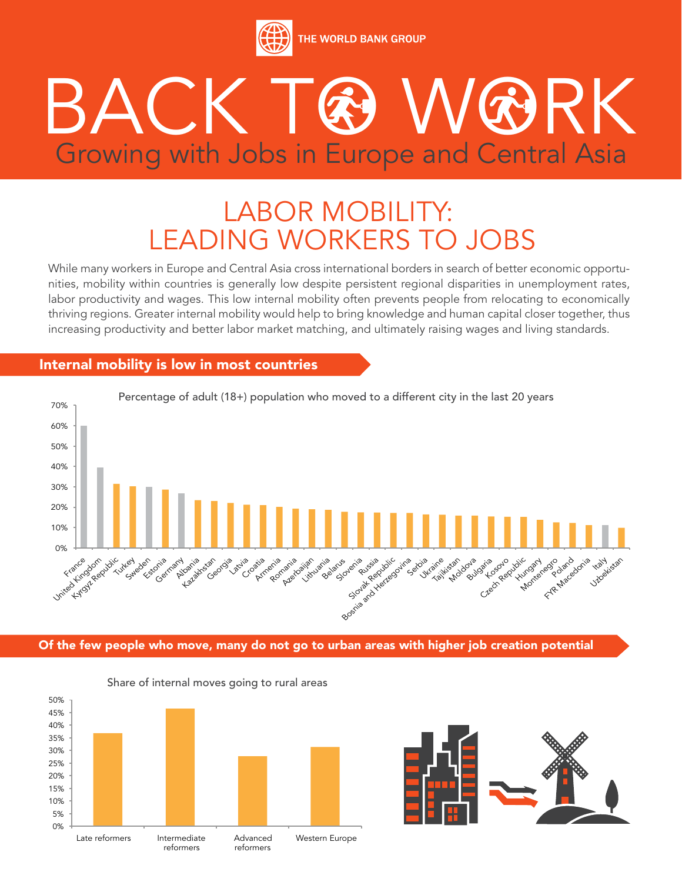

# BACK GOWOORK Growing with Jobs in Europe and Central Asia

## LABOR MOBILITY: LEADING WORKERS TO JOBS

While many workers in Europe and Central Asia cross international borders in search of better economic opportunities, mobility within countries is generally low despite persistent regional disparities in unemployment rates, labor productivity and wages. This low internal mobility often prevents people from relocating to economically thriving regions. Greater internal mobility would help to bring knowledge and human capital closer together, thus increasing productivity and better labor market matching, and ultimately raising wages and living standards.

#### Internal mobility is low in most countries



Of the few people who move, many do not go to urban areas with higher job creation potential



#### Share of internal moves going to rural areas